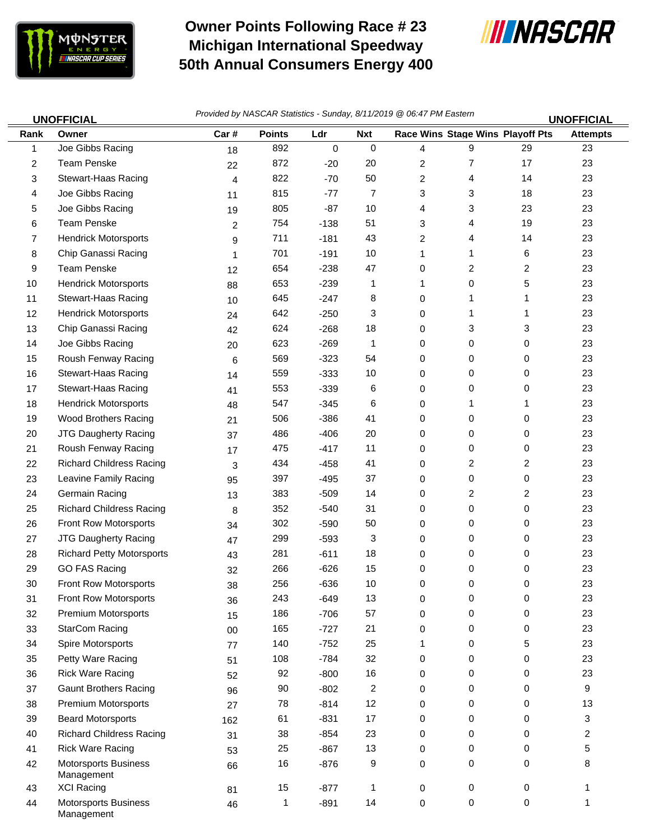

Management

## **Owner Points Following Race # 23 Michigan International Speedway 50th Annual Consumers Energy 400**



|      | <b>UNOFFICIAL</b>                         | Provided by NASCAR Statistics - Sunday, 8/11/2019 @ 06:47 PM Eastern |               |        |                |   |   |                                  | <b>UNOFFICIAL</b> |
|------|-------------------------------------------|----------------------------------------------------------------------|---------------|--------|----------------|---|---|----------------------------------|-------------------|
| Rank | Owner                                     | Car#                                                                 | <b>Points</b> | Ldr    | <b>Nxt</b>     |   |   | Race Wins Stage Wins Playoff Pts | <b>Attempts</b>   |
| 1    | Joe Gibbs Racing                          | 18                                                                   | 892           | 0      | $\mathbf 0$    | 4 | 9 | 29                               | 23                |
| 2    | <b>Team Penske</b>                        | 22                                                                   | 872           | $-20$  | 20             | 2 | 7 | 17                               | 23                |
| 3    | Stewart-Haas Racing                       | 4                                                                    | 822           | $-70$  | 50             | 2 | 4 | 14                               | 23                |
| 4    | Joe Gibbs Racing                          | 11                                                                   | 815           | $-77$  | 7              | 3 | 3 | 18                               | 23                |
| 5    | Joe Gibbs Racing                          | 19                                                                   | 805           | $-87$  | 10             | 4 | 3 | 23                               | 23                |
| 6    | <b>Team Penske</b>                        | $\overline{c}$                                                       | 754           | $-138$ | 51             | 3 | 4 | 19                               | 23                |
| 7    | <b>Hendrick Motorsports</b>               | 9                                                                    | 711           | $-181$ | 43             | 2 | 4 | 14                               | 23                |
| 8    | Chip Ganassi Racing                       | 1                                                                    | 701           | $-191$ | 10             | 1 | 1 | 6                                | 23                |
| 9    | <b>Team Penske</b>                        | 12                                                                   | 654           | $-238$ | 47             | 0 | 2 | $\overline{2}$                   | 23                |
| 10   | <b>Hendrick Motorsports</b>               | 88                                                                   | 653           | $-239$ | 1              | 1 | 0 | 5                                | 23                |
| 11   | Stewart-Haas Racing                       | 10                                                                   | 645           | $-247$ | 8              | 0 | 1 | 1                                | 23                |
| 12   | <b>Hendrick Motorsports</b>               | 24                                                                   | 642           | $-250$ | 3              | 0 | 1 | 1                                | 23                |
| 13   | Chip Ganassi Racing                       | 42                                                                   | 624           | $-268$ | 18             | 0 | 3 | 3                                | 23                |
| 14   | Joe Gibbs Racing                          | 20                                                                   | 623           | $-269$ | 1              | 0 | 0 | 0                                | 23                |
| 15   | Roush Fenway Racing                       | 6                                                                    | 569           | $-323$ | 54             | 0 | 0 | 0                                | 23                |
| 16   | <b>Stewart-Haas Racing</b>                | 14                                                                   | 559           | $-333$ | 10             | 0 | 0 | 0                                | 23                |
| 17   | Stewart-Haas Racing                       | 41                                                                   | 553           | $-339$ | 6              | 0 | 0 | 0                                | 23                |
| 18   | <b>Hendrick Motorsports</b>               | 48                                                                   | 547           | $-345$ | 6              | 0 | 1 | 1                                | 23                |
| 19   | <b>Wood Brothers Racing</b>               | 21                                                                   | 506           | $-386$ | 41             | 0 | 0 | 0                                | 23                |
| 20   | <b>JTG Daugherty Racing</b>               | 37                                                                   | 486           | $-406$ | 20             | 0 | 0 | 0                                | 23                |
| 21   | Roush Fenway Racing                       | 17                                                                   | 475           | $-417$ | 11             | 0 | 0 | 0                                | 23                |
| 22   | <b>Richard Childress Racing</b>           | 3                                                                    | 434           | $-458$ | 41             | 0 | 2 | 2                                | 23                |
| 23   | Leavine Family Racing                     | 95                                                                   | 397           | $-495$ | 37             | 0 | 0 | 0                                | 23                |
| 24   | Germain Racing                            | 13                                                                   | 383           | $-509$ | 14             | 0 | 2 | 2                                | 23                |
| 25   | <b>Richard Childress Racing</b>           | 8                                                                    | 352           | $-540$ | 31             | 0 | 0 | 0                                | 23                |
| 26   | Front Row Motorsports                     | 34                                                                   | 302           | $-590$ | 50             | 0 | 0 | 0                                | 23                |
| 27   | <b>JTG Daugherty Racing</b>               | 47                                                                   | 299           | $-593$ | 3              | 0 | 0 | 0                                | 23                |
| 28   | <b>Richard Petty Motorsports</b>          | 43                                                                   | 281           | $-611$ | 18             | 0 | 0 | 0                                | 23                |
| 29   | <b>GO FAS Racing</b>                      | 32                                                                   | 266           | $-626$ | 15             | 0 | 0 | 0                                | 23                |
| 30   | <b>Front Row Motorsports</b>              | 38                                                                   | 256           | $-636$ | 10             | 0 | 0 | 0                                | 23                |
| 31   | Front Row Motorsports                     | 36                                                                   | 243           | $-649$ | 13             | 0 | 0 | 0                                | 23                |
| 32   | Premium Motorsports                       | 15                                                                   | 186           | $-706$ | 57             | 0 | 0 | 0                                | 23                |
| 33   | <b>StarCom Racing</b>                     | 00                                                                   | 165           | $-727$ | 21             | 0 | 0 | 0                                | 23                |
| 34   | Spire Motorsports                         | 77                                                                   | 140           | $-752$ | 25             | 1 | 0 | 5                                | 23                |
| 35   | Petty Ware Racing                         | 51                                                                   | 108           | $-784$ | 32             | 0 | 0 | 0                                | 23                |
| 36   | <b>Rick Ware Racing</b>                   | 52                                                                   | 92            | $-800$ | 16             | 0 | 0 | 0                                | 23                |
| 37   | <b>Gaunt Brothers Racing</b>              | 96                                                                   | 90            | $-802$ | $\overline{c}$ | 0 | 0 | 0                                | 9                 |
| 38   | <b>Premium Motorsports</b>                | 27                                                                   | 78            | $-814$ | 12             | 0 | 0 | 0                                | 13                |
| 39   | <b>Beard Motorsports</b>                  | 162                                                                  | 61            | $-831$ | 17             | 0 | 0 | 0                                | $\mathbf{3}$      |
| 40   | <b>Richard Childress Racing</b>           | 31                                                                   | 38            | $-854$ | 23             | 0 | 0 | 0                                | $\overline{c}$    |
| 41   | <b>Rick Ware Racing</b>                   | 53                                                                   | 25            | $-867$ | 13             | 0 | 0 | 0                                | 5                 |
| 42   | <b>Motorsports Business</b><br>Management | 66                                                                   | 16            | $-876$ | 9              | 0 | 0 | 0                                | 8                 |
| 43   | <b>XCI Racing</b>                         | 81                                                                   | 15            | $-877$ | 1              | 0 | 0 | 0                                | 1                 |
| 44   | <b>Motorsports Business</b>               | 46                                                                   | $\mathbf{1}$  | $-891$ | 14             | 0 | 0 | $\mathbf 0$                      | $\mathbf{1}$      |